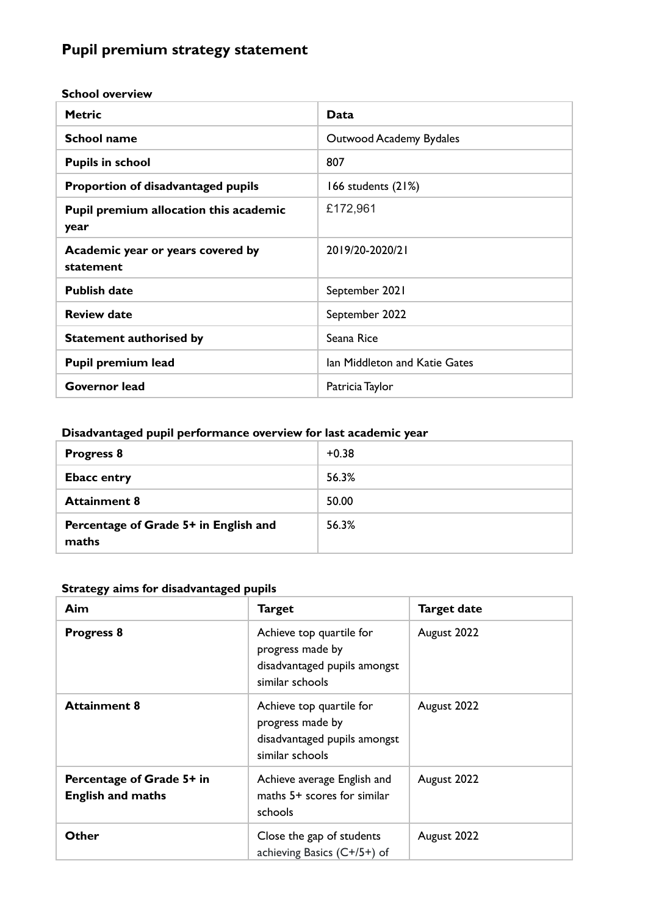# **Pupil premium strategy statement**

**School overview**

| <b>Metric</b>                                  | Data                          |
|------------------------------------------------|-------------------------------|
| <b>School name</b>                             | Outwood Academy Bydales       |
| <b>Pupils in school</b>                        | 807                           |
| Proportion of disadvantaged pupils             | 166 students $(21%)$          |
| Pupil premium allocation this academic<br>year | £172,961                      |
| Academic year or years covered by<br>statement | 2019/20-2020/21               |
| <b>Publish date</b>                            | September 2021                |
| <b>Review date</b>                             | September 2022                |
| <b>Statement authorised by</b>                 | Seana Rice                    |
| Pupil premium lead                             | Ian Middleton and Katie Gates |
| Governor lead                                  | Patricia Taylor               |

#### **Disadvantaged pupil performance overview for last academic year**

| <b>Progress 8</b>                              | $+0.38$ |
|------------------------------------------------|---------|
| <b>Ebacc entry</b>                             | 56.3%   |
| <b>Attainment 8</b>                            | 50.00   |
| Percentage of Grade 5+ in English and<br>maths | 56.3%   |

#### **Strategy aims for disadvantaged pupils**

| Aim                                                   | <b>Target</b>                                                                                   | <b>Target date</b> |
|-------------------------------------------------------|-------------------------------------------------------------------------------------------------|--------------------|
| <b>Progress 8</b>                                     | Achieve top quartile for<br>progress made by<br>disadvantaged pupils amongst<br>similar schools | August 2022        |
| <b>Attainment 8</b>                                   | Achieve top quartile for<br>progress made by<br>disadvantaged pupils amongst<br>similar schools | August 2022        |
| Percentage of Grade 5+ in<br><b>English and maths</b> | Achieve average English and<br>maths 5+ scores for similar<br>schools                           | August 2022        |
| Other                                                 | Close the gap of students<br>achieving Basics $(C+/5+)$ of                                      | August 2022        |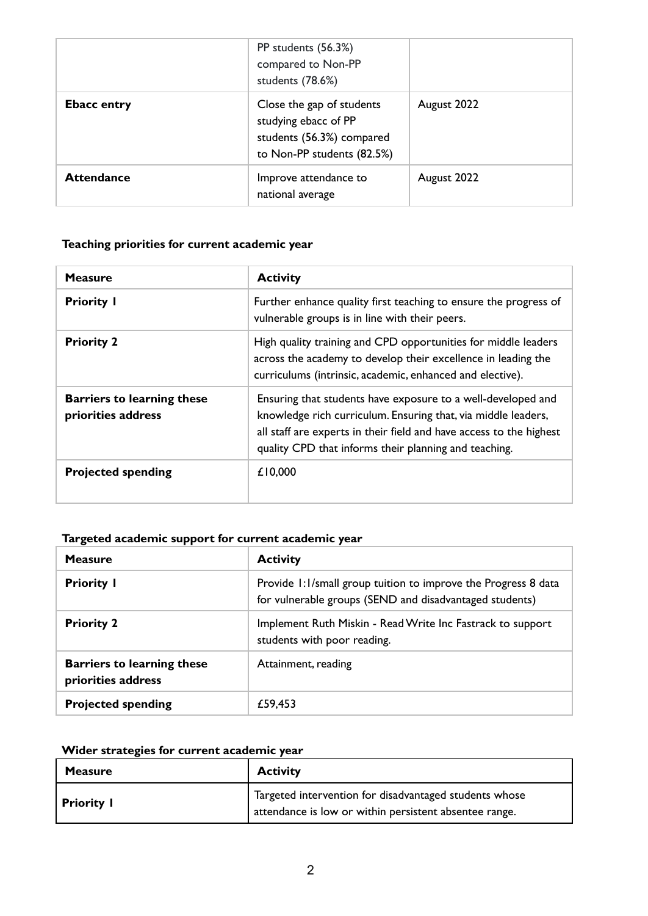|                    | PP students (56.3%)<br>compared to Non-PP<br>students (78.6%)                                                |             |
|--------------------|--------------------------------------------------------------------------------------------------------------|-------------|
| <b>Ebacc entry</b> | Close the gap of students<br>studying ebacc of PP<br>students (56.3%) compared<br>to Non-PP students (82.5%) | August 2022 |
| <b>Attendance</b>  | Improve attendance to<br>national average                                                                    | August 2022 |

#### **Teaching priorities for current academic year**

| <b>Measure</b>                                          | <b>Activity</b>                                                                                                                                                                                                                                               |
|---------------------------------------------------------|---------------------------------------------------------------------------------------------------------------------------------------------------------------------------------------------------------------------------------------------------------------|
| <b>Priority I</b>                                       | Further enhance quality first teaching to ensure the progress of<br>vulnerable groups is in line with their peers.                                                                                                                                            |
| <b>Priority 2</b>                                       | High quality training and CPD opportunities for middle leaders<br>across the academy to develop their excellence in leading the<br>curriculums (intrinsic, academic, enhanced and elective).                                                                  |
| <b>Barriers to learning these</b><br>priorities address | Ensuring that students have exposure to a well-developed and<br>knowledge rich curriculum. Ensuring that, via middle leaders,<br>all staff are experts in their field and have access to the highest<br>quality CPD that informs their planning and teaching. |
| <b>Projected spending</b>                               | £10,000                                                                                                                                                                                                                                                       |

#### **Targeted academic support for current academic year**

| <b>Measure</b>                                          | <b>Activity</b>                                                                                                           |
|---------------------------------------------------------|---------------------------------------------------------------------------------------------------------------------------|
| <b>Priority I</b>                                       | Provide 1:1/small group tuition to improve the Progress 8 data<br>for vulnerable groups (SEND and disadvantaged students) |
| <b>Priority 2</b>                                       | Implement Ruth Miskin - Read Write Inc Fastrack to support<br>students with poor reading.                                 |
| <b>Barriers to learning these</b><br>priorities address | Attainment, reading                                                                                                       |
| <b>Projected spending</b>                               | £59,453                                                                                                                   |

## **Wider strategies for current academic year**

| <b>Measure</b>    | <b>Activity</b>                                                                                                  |  |
|-------------------|------------------------------------------------------------------------------------------------------------------|--|
| <b>Priority I</b> | Targeted intervention for disadvantaged students whose<br>attendance is low or within persistent absentee range. |  |